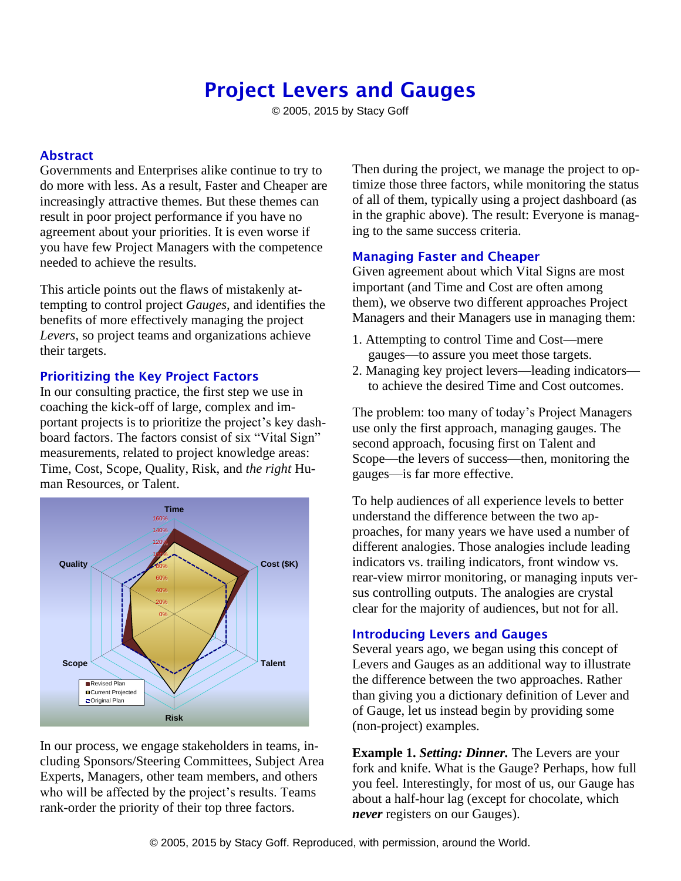# Project Levers and Gauges

© 2005, 2015 by Stacy Goff

## Abstract

Governments and Enterprises alike continue to try to do more with less. As a result, Faster and Cheaper are increasingly attractive themes. But these themes can result in poor project performance if you have no agreement about your priorities. It is even worse if you have few Project Managers with the competence needed to achieve the results.

This article points out the flaws of mistakenly attempting to control project *Gauges*, and identifies the benefits of more effectively managing the project *Levers*, so project teams and organizations achieve their targets.

### Prioritizing the Key Project Factors

In our consulting practice, the first step we use in coaching the kick-off of large, complex and important projects is to prioritize the project's key dashboard factors. The factors consist of six "Vital Sign" measurements, related to project knowledge areas: Time, Cost, Scope, Quality, Risk, and *the right* Human Resources, or Talent.



In our process, we engage stakeholders in teams, including Sponsors/Steering Committees, Subject Area Experts, Managers, other team members, and others who will be affected by the project's results. Teams rank-order the priority of their top three factors.

Then during the project, we manage the project to optimize those three factors, while monitoring the status of all of them, typically using a project dashboard (as in the graphic above). The result: Everyone is managing to the same success criteria.

#### Managing Faster and Cheaper

Given agreement about which Vital Signs are most important (and Time and Cost are often among them), we observe two different approaches Project Managers and their Managers use in managing them:

- 1. Attempting to control Time and Cost—mere gauges—to assure you meet those targets.
- 2. Managing key project levers—leading indicators to achieve the desired Time and Cost outcomes.

The problem: too many of today's Project Managers use only the first approach, managing gauges. The second approach, focusing first on Talent and Scope—the levers of success—then, monitoring the gauges—is far more effective.

To help audiences of all experience levels to better understand the difference between the two approaches, for many years we have used a number of different analogies. Those analogies include leading indicators vs. trailing indicators, front window vs. rear-view mirror monitoring, or managing inputs versus controlling outputs. The analogies are crystal clear for the majority of audiences, but not for all.

### Introducing Levers and Gauges

Several years ago, we began using this concept of Levers and Gauges as an additional way to illustrate the difference between the two approaches. Rather than giving you a dictionary definition of Lever and of Gauge, let us instead begin by providing some (non-project) examples.

**Example 1.** *Setting: Dinner.* The Levers are your fork and knife. What is the Gauge? Perhaps, how full you feel. Interestingly, for most of us, our Gauge has about a half-hour lag (except for chocolate, which *never* registers on our Gauges).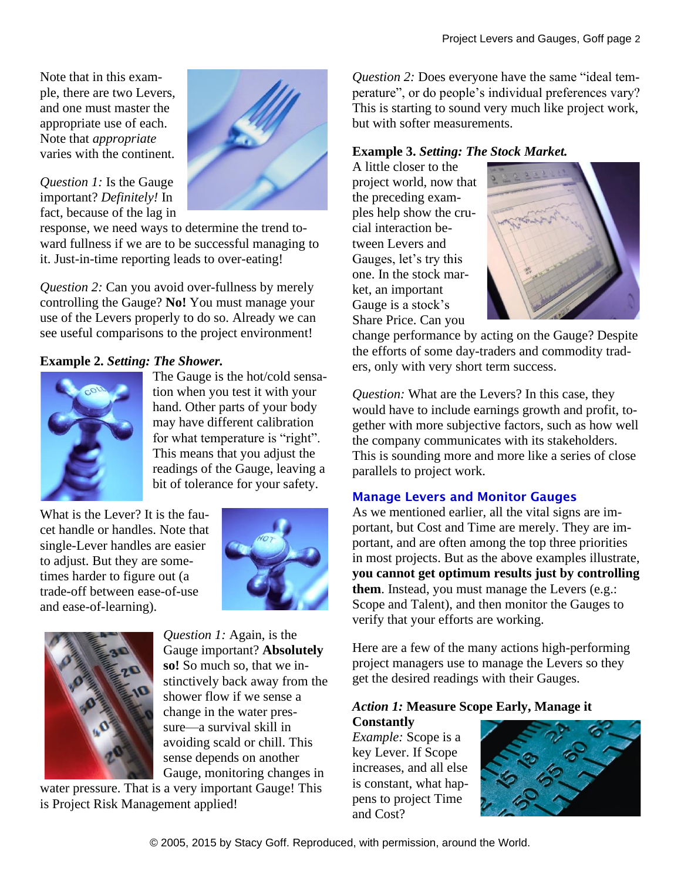Note that in this example, there are two Levers, and one must master the appropriate use of each. Note that *appropriate* varies with the continent.



#### *Question 1:* Is the Gauge important? *Definitely!* In fact, because of the lag in

response, we need ways to determine the trend toward fullness if we are to be successful managing to it. Just-in-time reporting leads to over-eating!

*Question 2:* Can you avoid over-fullness by merely controlling the Gauge? **No!** You must manage your use of the Levers properly to do so. Already we can see useful comparisons to the project environment!

# **Example 2.** *Setting: The Shower.*



The Gauge is the hot/cold sensation when you test it with your hand. Other parts of your body may have different calibration for what temperature is "right". This means that you adjust the readings of the Gauge, leaving a bit of tolerance for your safety.

What is the Lever? It is the faucet handle or handles. Note that single-Lever handles are easier to adjust. But they are sometimes harder to figure out (a trade-off between ease-of-use and ease-of-learning).





*Question 1:* Again, is the Gauge important? **Absolutely so!** So much so, that we instinctively back away from the shower flow if we sense a change in the water pressure—a survival skill in avoiding scald or chill. This sense depends on another Gauge, monitoring changes in

water pressure. That is a very important Gauge! This is Project Risk Management applied!

*Question 2:* Does everyone have the same "ideal temperature", or do people's individual preferences vary? This is starting to sound very much like project work, but with softer measurements.

## **Example 3.** *Setting: The Stock Market.*

A little closer to the project world, now that the preceding examples help show the crucial interaction between Levers and Gauges, let's try this one. In the stock market, an important Gauge is a stock's Share Price. Can you



change performance by acting on the Gauge? Despite the efforts of some day-traders and commodity traders, only with very short term success.

*Question:* What are the Levers? In this case, they would have to include earnings growth and profit, together with more subjective factors, such as how well the company communicates with its stakeholders. This is sounding more and more like a series of close parallels to project work.

### Manage Levers and Monitor Gauges

As we mentioned earlier, all the vital signs are important, but Cost and Time are merely. They are important, and are often among the top three priorities in most projects. But as the above examples illustrate, **you cannot get optimum results just by controlling them**. Instead, you must manage the Levers (e.g.: Scope and Talent), and then monitor the Gauges to verify that your efforts are working.

Here are a few of the many actions high-performing project managers use to manage the Levers so they get the desired readings with their Gauges.

### *Action 1:* **Measure Scope Early, Manage it Constantly**

*Example:* Scope is a key Lever. If Scope increases, and all else is constant, what happens to project Time and Cost?

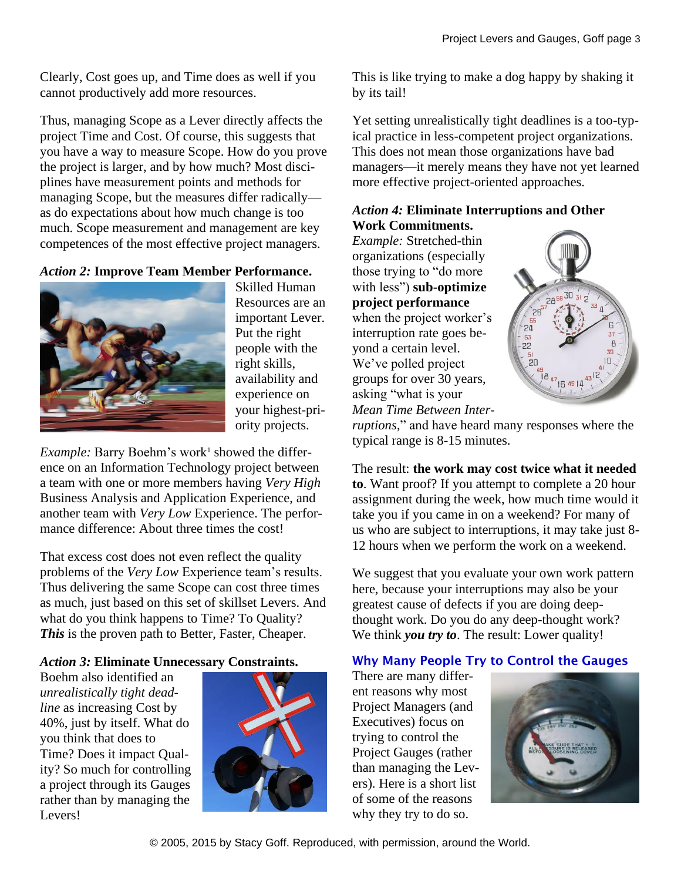Clearly, Cost goes up, and Time does as well if you cannot productively add more resources.

Thus, managing Scope as a Lever directly affects the project Time and Cost. Of course, this suggests that you have a way to measure Scope. How do you prove the project is larger, and by how much? Most disciplines have measurement points and methods for managing Scope, but the measures differ radically as do expectations about how much change is too much. Scope measurement and management are key competences of the most effective project managers.

*Action 2:* **Improve Team Member Performance.**



Skilled Human Resources are an important Lever. Put the right people with the right skills, availability and experience on your highest-priority projects.

*Example:* Barry Boehm's work<sup>1</sup> showed the difference on an Information Technology project between a team with one or more members having *Very High* Business Analysis and Application Experience, and another team with *Very Low* Experience. The performance difference: About three times the cost!

That excess cost does not even reflect the quality problems of the *Very Low* Experience team's results. Thus delivering the same Scope can cost three times as much, just based on this set of skillset Levers. And what do you think happens to Time? To Quality? *This* is the proven path to Better, Faster, Cheaper.

### *Action 3:* **Eliminate Unnecessary Constraints.**

Boehm also identified an *unrealistically tight deadline* as increasing Cost by 40%, just by itself. What do you think that does to Time? Does it impact Quality? So much for controlling a project through its Gauges rather than by managing the Levers!



This is like trying to make a dog happy by shaking it by its tail!

Yet setting unrealistically tight deadlines is a too-typical practice in less-competent project organizations. This does not mean those organizations have bad managers—it merely means they have not yet learned more effective project-oriented approaches.

## *Action 4:* **Eliminate Interruptions and Other Work Commitments.**

*Example:* Stretched-thin organizations (especially those trying to "do more with less") **sub-optimize project performance** when the project worker's interruption rate goes beyond a certain level. We've polled project groups for over 30 years, asking "what is your *Mean Time Between Inter-*



*ruptions*," and have heard many responses where the typical range is 8-15 minutes.

The result: **the work may cost twice what it needed to**. Want proof? If you attempt to complete a 20 hour assignment during the week, how much time would it take you if you came in on a weekend? For many of us who are subject to interruptions, it may take just 8- 12 hours when we perform the work on a weekend.

We suggest that you evaluate your own work pattern here, because your interruptions may also be your greatest cause of defects if you are doing deepthought work. Do you do any deep-thought work? We think *you try to*. The result: Lower quality!

# Why Many People Try to Control the Gauges

There are many different reasons why most Project Managers (and Executives) focus on trying to control the Project Gauges (rather than managing the Levers). Here is a short list of some of the reasons why they try to do so.



© 2005, 2015 by Stacy Goff. Reproduced, with permission, around the World.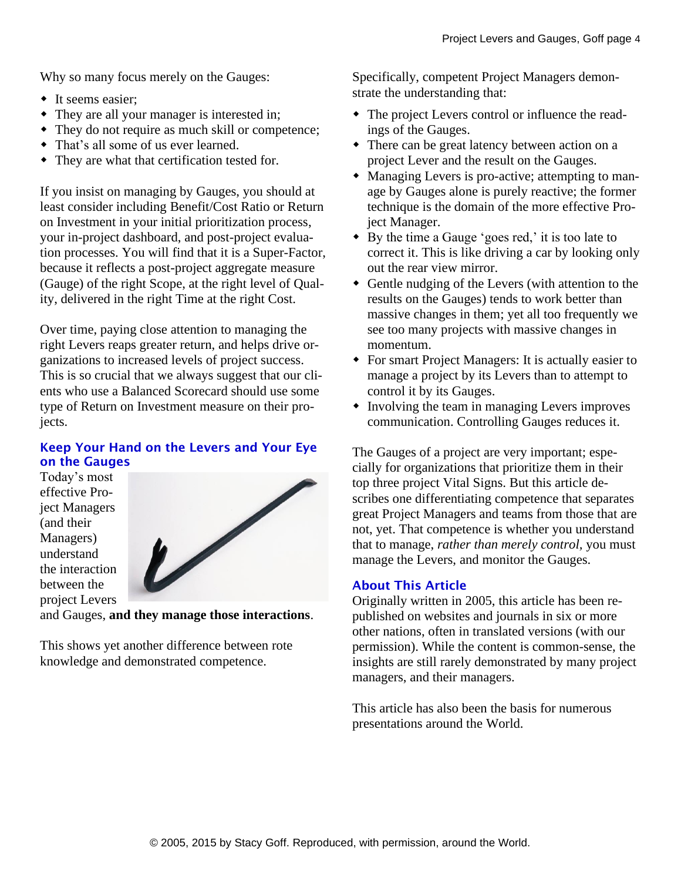Why so many focus merely on the Gauges:

- It seems easier:
- They are all your manager is interested in;
- They do not require as much skill or competence;
- That's all some of us ever learned.
- They are what that certification tested for.

If you insist on managing by Gauges, you should at least consider including Benefit/Cost Ratio or Return on Investment in your initial prioritization process, your in-project dashboard, and post-project evaluation processes. You will find that it is a Super-Factor, because it reflects a post-project aggregate measure (Gauge) of the right Scope, at the right level of Quality, delivered in the right Time at the right Cost.

Over time, paying close attention to managing the right Levers reaps greater return, and helps drive organizations to increased levels of project success. This is so crucial that we always suggest that our clients who use a Balanced Scorecard should use some type of Return on Investment measure on their projects.

## Keep Your Hand on the Levers and Your Eye on the Gauges

Today's most effective Project Managers (and their Managers) understand the interaction between the project Levers



and Gauges, **and they manage those interactions**.

This shows yet another difference between rote knowledge and demonstrated competence.

Specifically, competent Project Managers demonstrate the understanding that:

- The project Levers control or influence the readings of the Gauges.
- There can be great latency between action on a project Lever and the result on the Gauges.
- Managing Levers is pro-active; attempting to manage by Gauges alone is purely reactive; the former technique is the domain of the more effective Project Manager.
- By the time a Gauge 'goes red,' it is too late to correct it. This is like driving a car by looking only out the rear view mirror.
- Gentle nudging of the Levers (with attention to the results on the Gauges) tends to work better than massive changes in them; yet all too frequently we see too many projects with massive changes in momentum.
- For smart Project Managers: It is actually easier to manage a project by its Levers than to attempt to control it by its Gauges.
- Involving the team in managing Levers improves communication. Controlling Gauges reduces it.

The Gauges of a project are very important; especially for organizations that prioritize them in their top three project Vital Signs. But this article describes one differentiating competence that separates great Project Managers and teams from those that are not, yet. That competence is whether you understand that to manage, *rather than merely control,* you must manage the Levers, and monitor the Gauges.

### About This Article

Originally written in 2005, this article has been republished on websites and journals in six or more other nations, often in translated versions (with our permission). While the content is common-sense, the insights are still rarely demonstrated by many project managers, and their managers.

This article has also been the basis for numerous presentations around the World.